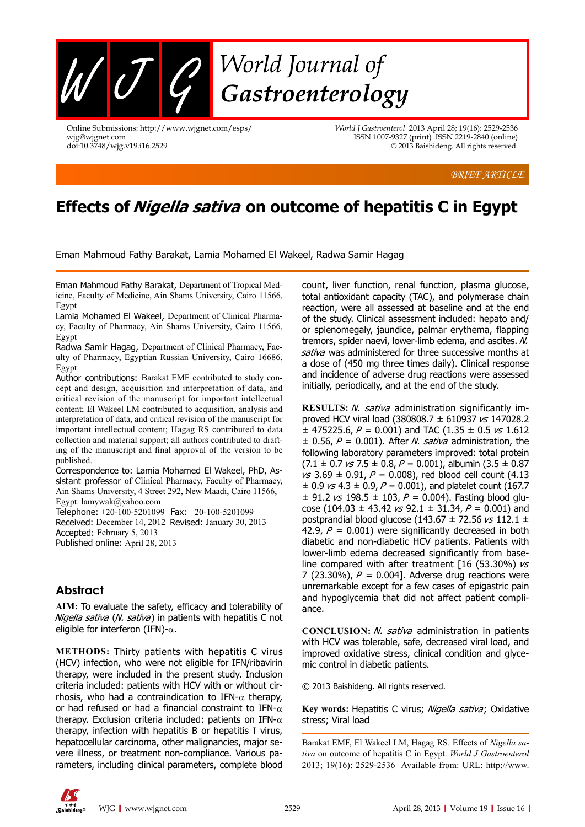

Online Submissions: http://www.wjgnet.com/esps/ wjg@wjgnet.com doi:10.3748/wjg.v19.i16.2529

*World J Gastroenterol* 2013 April 28; 19(16): 2529-2536 ISSN 1007-9327 (print) ISSN 2219-2840 (online) © 2013 Baishideng. All rights reserved.

*BRIEF ARTICLE*

# **Effects of Nigella sativa on outcome of hepatitis C in Egypt**

Eman Mahmoud Fathy Barakat, Lamia Mohamed El Wakeel, Radwa Samir Hagag

Eman Mahmoud Fathy Barakat, Department of Tropical Medicine, Faculty of Medicine, Ain Shams University, Cairo 11566, Egypt

Lamia Mohamed El Wakeel, Department of Clinical Pharmacy, Faculty of Pharmacy, Ain Shams University, Cairo 11566, Egypt

Radwa Samir Hagag, Department of Clinical Pharmacy, Faculty of Pharmacy, Egyptian Russian University, Cairo 16686, Egypt

Author contributions: Barakat EMF contributed to study concept and design, acquisition and interpretation of data, and critical revision of the manuscript for important intellectual content; El Wakeel LM contributed to acquisition, analysis and interpretation of data, and critical revision of the manuscript for important intellectual content; Hagag RS contributed to data collection and material support; all authors contributed to drafting of the manuscript and final approval of the version to be published.

Correspondence to: Lamia Mohamed El Wakeel, PhD, Assistant professor of Clinical Pharmacy, Faculty of Pharmacy, Ain Shams University, 4 Street 292, New Maadi, Cairo 11566, Egypt. lamywak@yahoo.com

Telephone: +20-100-5201099 Fax: +20-100-5201099 Received: December 14, 2012 Revised: January 30, 2013 Accepted: February 5, 2013 Published online: April 28, 2013

# **Abstract**

**AIM:** To evaluate the safety, efficacy and tolerability of Nigella sativa (N. sativa) in patients with hepatitis C not eligible for interferon (IFN)- $\alpha$ .

**METHODS:** Thirty patients with hepatitis C virus (HCV) infection, who were not eligible for IFN/ribavirin therapy, were included in the present study. Inclusion criteria included: patients with HCV with or without cirrhosis, who had a contraindication to IFN- $\alpha$  therapy, or had refused or had a financial constraint to IFN- $\alpha$ therapy. Exclusion criteria included: patients on IFN- $\alpha$ therapy, infection with hepatitis B or hepatitis I virus, hepatocellular carcinoma, other malignancies, major severe illness, or treatment non-compliance. Various parameters, including clinical parameters, complete blood

count, liver function, renal function, plasma glucose, total antioxidant capacity (TAC), and polymerase chain reaction, were all assessed at baseline and at the end of the study. Clinical assessment included: hepato and/ or splenomegaly, jaundice, palmar erythema, flapping tremors, spider naevi, lower-limb edema, and ascites. N. sativa was administered for three successive months at a dose of (450 mg three times daily). Clinical response and incidence of adverse drug reactions were assessed initially, periodically, and at the end of the study.

**RESULTS:** N. sativa administration significantly improved HCV viral load (380808.7  $\pm$  610937  $\sqrt{s}$  147028.2  $\pm$  475225.6, P = 0.001) and TAC (1.35  $\pm$  0.5  $\kappa$ s 1.612  $\pm$  0.56, P = 0.001). After *N. sativa* administration, the following laboratory parameters improved: total protein  $(7.1 \pm 0.7 \text{ vs } 7.5 \pm 0.8, P = 0.001)$ , albumin  $(3.5 \pm 0.87)$  $vs$  3.69  $\pm$  0.91,  $P = 0.008$ ), red blood cell count (4.13  $\pm$  0.9  $\kappa$  4.3  $\pm$  0.9, P = 0.001), and platelet count (167.7  $\pm$  91.2  $\text{vs}$  198.5  $\pm$  103,  $P = 0.004$ ). Fasting blood glucose (104.03  $\pm$  43.42 *vs* 92.1  $\pm$  31.34, *P* = 0.001) and postprandial blood glucose (143.67  $\pm$  72.56  $\text{vs}$  112.1  $\pm$ 42.9,  $P = 0.001$ ) were significantly decreased in both diabetic and non-diabetic HCV patients. Patients with lower-limb edema decreased significantly from baseline compared with after treatment [16 (53.30%)  $\sqrt{s}$ 7 (23.30%),  $P = 0.004$ ]. Adverse drug reactions were unremarkable except for a few cases of epigastric pain and hypoglycemia that did not affect patient compliance.

**CONCLUSION:** *N. sativa* administration in patients with HCV was tolerable, safe, decreased viral load, and improved oxidative stress, clinical condition and glycemic control in diabetic patients.

© 2013 Baishideng. All rights reserved.

Key words: Hepatitis C virus; Nigella sativa; Oxidative stress; Viral load

Barakat EMF, El Wakeel LM, Hagag RS. Effects of *Nigella sativa* on outcome of hepatitis C in Egypt. *World J Gastroenterol* 2013; 19(16): 2529-2536 Available from: URL: http://www.

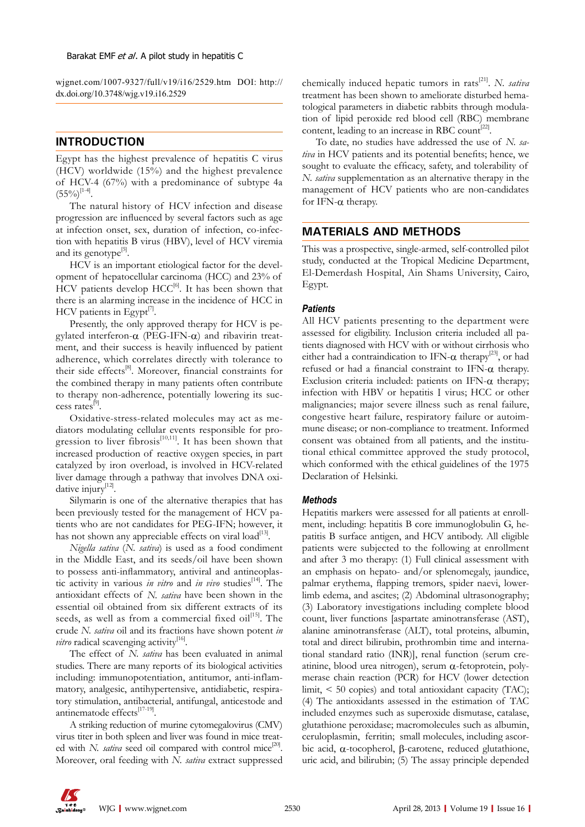wjgnet.com/1007-9327/full/v19/i16/2529.htm DOI: http:// dx.doi.org/10.3748/wjg.v19.i16.2529

# **INTRODUCTION**

Egypt has the highest prevalence of hepatitis C virus (HCV) worldwide (15%) and the highest prevalence of HCV-4 (67%) with a predominance of subtype 4a  $(55\%)^{[1-4]}$ .

The natural history of HCV infection and disease progression are influenced by several factors such as age at infection onset, sex, duration of infection, co-infection with hepatitis B virus (HBV), level of HCV viremia and its genotype<sup>[5]</sup>.

HCV is an important etiological factor for the development of hepatocellular carcinoma (HCC) and 23% of  $HCV$  patients develop  $HCC^{[6]}$ . It has been shown that there is an alarming increase in the incidence of HCC in  $HCV$  patients in Egypt $^{[7]}$ .

Presently, the only approved therapy for HCV is pegylated interferon- $\alpha$  (PEG-IFN- $\alpha$ ) and ribavirin treatment, and their success is heavily influenced by patient adherence, which correlates directly with tolerance to their side effects<sup>[8]</sup>. Moreover, financial constraints for the combined therapy in many patients often contribute to therapy non-adherence, potentially lowering its success rates[9].

Oxidative-stress-related molecules may act as mediators modulating cellular events responsible for progression to liver fibrosis $[10,11]$ . It has been shown that increased production of reactive oxygen species, in part catalyzed by iron overload, is involved in HCV-related liver damage through a pathway that involves DNA oxidative injury<sup>[12]</sup>.

Silymarin is one of the alternative therapies that has been previously tested for the management of HCV patients who are not candidates for PEG-IFN; however, it has not shown any appreciable effects on viral load<sup>[13]</sup>.

*Nigella sativa* (*N. sativa*) is used as a food condiment in the Middle East, and its seeds/oil have been shown to possess anti-inflammatory, antiviral and antineoplastic activity in various *in vitro* and *in vivo* studies<sup>[14]</sup>. The antioxidant effects of *N. sativa* have been shown in the essential oil obtained from six different extracts of its seeds, as well as from a commercial fixed  $\text{oil}^{[15]}$ . The crude *N. sativa* oil and its fractions have shown potent *in vitro* radical scavenging activity<sup>[16]</sup>.

The effect of *N. sativa* has been evaluated in animal studies. There are many reports of its biological activities including: immunopotentiation, antitumor, anti-inflammatory, analgesic, antihypertensive, antidiabetic, respiratory stimulation, antibacterial, antifungal, anticestode and antinematode effects<sup>[17-19]</sup>.

A striking reduction of murine cytomegalovirus (CMV) virus titer in both spleen and liver was found in mice treated with *N. sativa* seed oil compared with control mice<sup>[20]</sup>. Moreover, oral feeding with *N. sativa* extract suppressed chemically induced hepatic tumors in rats[21]. *N. sativa* treatment has been shown to ameliorate disturbed hematological parameters in diabetic rabbits through modulation of lipid peroxide red blood cell (RBC) membrane content, leading to an increase in RBC count<sup>[22]</sup>.

To date, no studies have addressed the use of *N. sativa* in HCV patients and its potential benefits; hence, we sought to evaluate the efficacy, safety, and tolerability of *N. sativa* supplementation as an alternative therapy in the management of HCV patients who are non-candidates for IFN-α therapy.

# **MATERIALS AND METHODS**

This was a prospective, single-armed, self-controlled pilot study, conducted at the Tropical Medicine Department, El-Demerdash Hospital, Ain Shams University, Cairo, Egypt.

# *Patients*

All HCV patients presenting to the department were assessed for eligibility. Inclusion criteria included all patients diagnosed with HCV with or without cirrhosis who either had a contraindication to IFN- $\alpha$  therapy<sup>[23]</sup>, or had refused or had a financial constraint to IFN- $\alpha$  therapy. Exclusion criteria included: patients on IFN- $\alpha$  therapy; infection with HBV or hepatitis I virus; HCC or other malignancies; major severe illness such as renal failure, congestive heart failure, respiratory failure or autoimmune disease; or non-compliance to treatment. Informed consent was obtained from all patients, and the institutional ethical committee approved the study protocol, which conformed with the ethical guidelines of the 1975 Declaration of Helsinki.

## *Methods*

Hepatitis markers were assessed for all patients at enrollment, including: hepatitis B core immunoglobulin G, hepatitis B surface antigen, and HCV antibody. All eligible patients were subjected to the following at enrollment and after 3 mo therapy: (1) Full clinical assessment with an emphasis on hepato- and/or splenomegaly, jaundice, palmar erythema, flapping tremors, spider naevi, lowerlimb edema, and ascites; (2) Abdominal ultrasonography; (3) Laboratory investigations including complete blood count, liver functions [aspartate aminotransferase (AST), alanine aminotransferase (ALT), total proteins, albumin, total and direct bilirubin, prothrombin time and international standard ratio (INR)], renal function (serum creatinine, blood urea nitrogen), serum  $\alpha$ -fetoprotein, polymerase chain reaction (PCR) for HCV (lower detection limit,  $\leq 50$  copies) and total antioxidant capacity (TAC); (4) The antioxidants assessed in the estimation of TAC included enzymes such as superoxide dismutase, catalase, glutathione peroxidase; macromolecules such as albumin, ceruloplasmin, ferritin; small molecules, including ascorbic acid, α-tocopherol, β-carotene, reduced glutathione, uric acid, and bilirubin; (5) The assay principle depended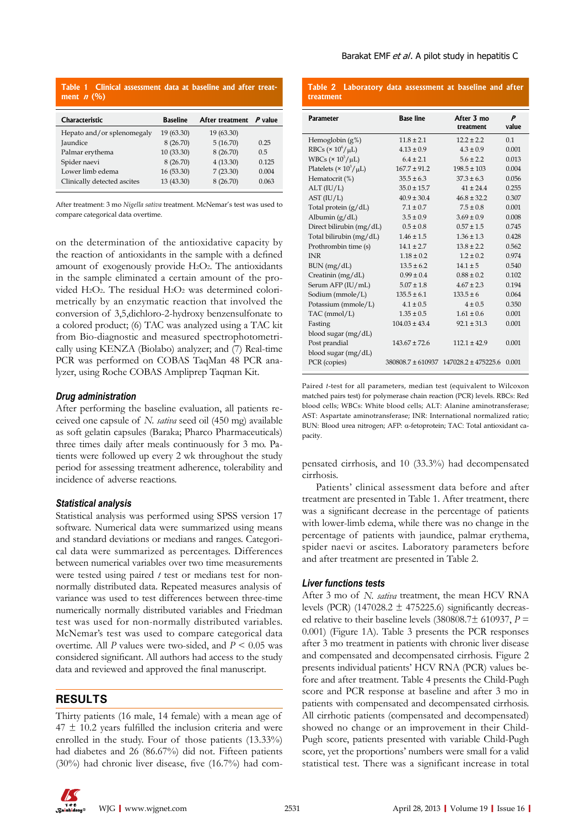| Table 1 Clinical assessment data at baseline and after treat-<br>ment $n$ (%) |                 |                 |           |  |  |  |
|-------------------------------------------------------------------------------|-----------------|-----------------|-----------|--|--|--|
| Characteristic                                                                | <b>Baseline</b> | After treatment | $P$ value |  |  |  |
| Hepato and/or splenomegaly                                                    | 19(63.30)       | 19 (63.30)      |           |  |  |  |
| Jaundice                                                                      | 8(26.70)        | 5(16.70)        | 0.25      |  |  |  |
| Palmar erythema                                                               | 10(33.30)       | 8(26.70)        | 0.5       |  |  |  |
| Spider naevi                                                                  | 8(26.70)        | 4(13.30)        | 0.125     |  |  |  |
| Lower limb edema                                                              | 16(53.30)       | 7(23.30)        | 0.004     |  |  |  |
| Clinically detected ascites                                                   | 13 (43.30)      | 8(26.70)        | 0.063     |  |  |  |

After treatment: 3 mo *Nigella sativa* treatment. McNemar's test was used to compare categorical data overtime.

on the determination of the antioxidative capacity by the reaction of antioxidants in the sample with a defined amount of exogenously provide H2O2. The antioxidants in the sample eliminated a certain amount of the provided H2O2. The residual H2O2 was determined colorimetrically by an enzymatic reaction that involved the conversion of 3,5,dichloro-2-hydroxy benzensulfonate to a colored product; (6) TAC was analyzed using a TAC kit from Bio-diagnostic and measured spectrophotometrically using KENZA (Biolabo) analyzer; and (7) Real-time PCR was performed on COBAS TaqMan 48 PCR analyzer, using Roche COBAS Ampliprep Taqman Kit.

# *Drug administration*

After performing the baseline evaluation, all patients received one capsule of *N. sativa* seed oil (450 mg) available as soft gelatin capsules (Baraka; Pharco Pharmaceuticals) three times daily after meals continuously for 3 mo. Patients were followed up every 2 wk throughout the study period for assessing treatment adherence, tolerability and incidence of adverse reactions.

## *Statistical analysis*

Statistical analysis was performed using SPSS version 17 software. Numerical data were summarized using means and standard deviations or medians and ranges. Categorical data were summarized as percentages. Differences between numerical variables over two time measurements were tested using paired *t* test or medians test for nonnormally distributed data. Repeated measures analysis of variance was used to test differences between three-time numerically normally distributed variables and Friedman test was used for non-normally distributed variables. McNemar's test was used to compare categorical data overtime. All *P* values were two-sided, and *P* < 0.05 was considered significant. All authors had access to the study data and reviewed and approved the final manuscript.

# **RESULTS**

Thirty patients (16 male, 14 female) with a mean age of  $47 \pm 10.2$  years fulfilled the inclusion criteria and were enrolled in the study. Four of those patients  $(13.33\%)$ had diabetes and 26 (86.67%) did not. Fifteen patients (30%) had chronic liver disease, five (16.7%) had com**Table 2 Laboratory data assessment at baseline and after** 

| treatment                         |                   |                                       |                           |
|-----------------------------------|-------------------|---------------------------------------|---------------------------|
| <b>Parameter</b>                  | <b>Base line</b>  | After 3 mo<br>treatment               | $\boldsymbol{p}$<br>value |
| Hemoglobin $(g\%)$                | $11.8 \pm 2.1$    | $12.2 \pm 2.2$                        | 0.1                       |
| RBCs ( $\times 10^6/\mu L$ )      | $4.13 \pm 0.9$    | $4.3 \pm 0.9$                         | 0.001                     |
| WBCs $(\times 10^3/\mu L)$        | $6.4 \pm 2.1$     | $5.6 \pm 2.2$                         | 0.013                     |
| Platelets ( $\times 10^3/\mu L$ ) | $167.7 \pm 91.2$  | $198.5 \pm 103$                       | 0.004                     |
| Hematocrit (%)                    | $35.5 \pm 6.3$    | $37.3 \pm 6.3$                        | 0.056                     |
| ALT (IU/L)                        | $35.0 \pm 15.7$   | $41 \pm 24.4$                         | 0.255                     |
| AST (IU/L)                        | $40.9 \pm 30.4$   | $46.8 \pm 32.2$                       | 0.307                     |
| Total protein $(g/dL)$            | $7.1 \pm 0.7$     | $7.5 \pm 0.8$                         | 0.001                     |
| Albumin $(g/dL)$                  | $3.5 \pm 0.9$     | $3.69 \pm 0.9$                        | 0.008                     |
| Direct bilirubin (mg/dL)          | $0.5 \pm 0.8$     | $0.57 \pm 1.5$                        | 0.745                     |
| Total bilirubin (mg/dL)           | $1.46 \pm 1.5$    | $1.36 \pm 1.3$                        | 0.428                     |
| Prothrombin time (s)              | $14.1 \pm 2.7$    | $13.8 \pm 2.2$                        | 0.562                     |
| <b>INR</b>                        | $1.18 \pm 0.2$    | $1.2 \pm 0.2$                         | 0.974                     |
| BUN (mg/dL)                       | $13.5 \pm 6.2$    | $14.1 \pm 5$                          | 0.540                     |
| Creatinin (mg/dL)                 | $0.99 \pm 0.4$    | $0.88 \pm 0.2$                        | 0.102                     |
| Serum AFP (IU/mL)                 | $5.07 \pm 1.8$    | $4.67 \pm 2.3$                        | 0.194                     |
| Sodium (mmole/L)                  | $135.5 \pm 6.1$   | $133.5 \pm 6$                         | 0.064                     |
| Potassium (mmole/L)               | $4.1 \pm 0.5$     | $4 \pm 0.5$                           | 0.350                     |
| TAC (mmol/L)                      | $1.35 \pm 0.5$    | $1.61 \pm 0.6$                        | 0.001                     |
| Fasting                           | $104.03 \pm 43.4$ | $92.1 \pm 31.3$                       | 0.001                     |
| blood sugar $(mg/dL)$             |                   |                                       |                           |
| Post prandial                     | $143.67 \pm 72.6$ | $112.1 \pm 42.9$                      | 0.001                     |
| blood sugar (mg/dL)               |                   |                                       |                           |
| PCR (copies)                      |                   | 380808.7 ± 610937 147028.2 ± 475225.6 | 0.001                     |

Paired *t*-test for all parameters, median test (equivalent to Wilcoxon matched pairs test) for polymerase chain reaction (PCR) levels. RBCs: Red blood cells; WBCs: White blood cells; ALT: Alanine aminotransferase; AST: Aspartate aminotransferase; INR: International normalized ratio; BUN: Blood urea nitrogen; AFP: α-fetoprotein; TAC: Total antioxidant capacity.

pensated cirrhosis, and 10 (33.3%) had decompensated cirrhosis.

Patients' clinical assessment data before and after treatment are presented in Table 1. After treatment, there was a significant decrease in the percentage of patients with lower-limb edema, while there was no change in the percentage of patients with jaundice, palmar erythema, spider naevi or ascites. Laboratory parameters before and after treatment are presented in Table 2.

## *Liver functions tests*

After 3 mo of *N. sativa* treatment, the mean HCV RNA levels (PCR) (147028.2  $\pm$  475225.6) significantly decreased relative to their baseline levels (380808.7 $\pm$  610937, *P* = 0.001) (Figure 1A). Table 3 presents the PCR responses after 3 mo treatment in patients with chronic liver disease and compensated and decompensated cirrhosis. Figure 2 presents individual patients' HCV RNA (PCR) values before and after treatment. Table 4 presents the Child-Pugh score and PCR response at baseline and after 3 mo in patients with compensated and decompensated cirrhosis. All cirrhotic patients (compensated and decompensated) showed no change or an improvement in their Child-Pugh score, patients presented with variable Child-Pugh score, yet the proportions' numbers were small for a valid statistical test. There was a significant increase in total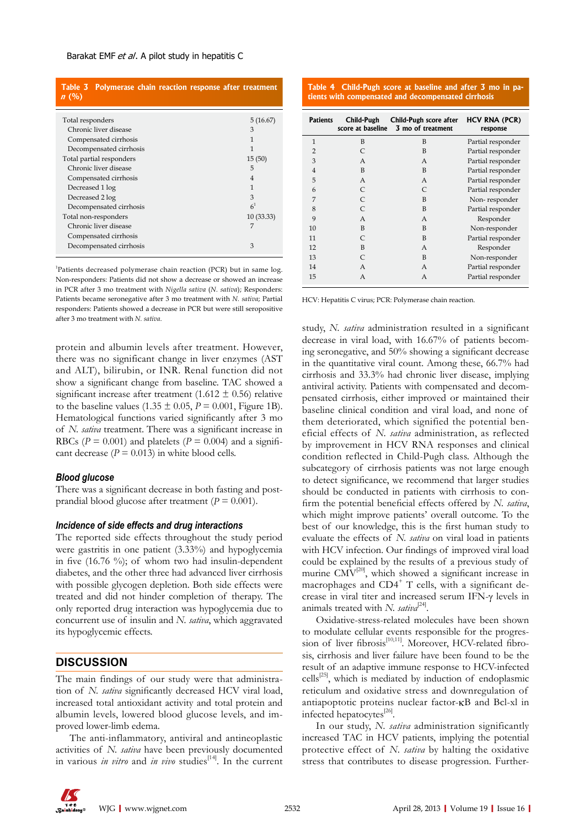| Table 3 Polymerase chain reaction response after treatment<br>n(%) |                |
|--------------------------------------------------------------------|----------------|
| Total responders                                                   | 5(16.67)       |
| Chronic liver disease                                              | 3              |
| Compensated cirrhosis                                              | 1              |
| Decompensated cirrhosis                                            | 1              |
| Total partial responders                                           | 15(50)         |
| Chronic liver disease                                              | 5              |
| Compensated cirrhosis                                              | $\overline{4}$ |
| Decreased 1 log                                                    | 1              |
| Decreased 2 log                                                    | 3              |
| Decompensated cirrhosis                                            | 6 <sup>1</sup> |
| Total non-responders                                               | 10(33.33)      |
| Chronic liver disease                                              | 7              |
| Compensated cirrhosis                                              |                |
| Decompensated cirrhosis                                            | 3              |
|                                                                    |                |

<sup>1</sup>Patients decreased polymerase chain reaction (PCR) but in same log. Non-responders: Patients did not show a decrease or showed an increase in PCR after 3 mo treatment with *Nigella sativa* (*N. sativa*); Responders: Patients became seronegative after 3 mo treatment with *N. sativa*; Partial responders: Patients showed a decrease in PCR but were still seropositive after 3 mo treatment with *N. sativa*.

protein and albumin levels after treatment. However, there was no significant change in liver enzymes (AST and ALT), bilirubin, or INR. Renal function did not show a significant change from baseline. TAC showed a significant increase after treatment (1.612  $\pm$  0.56) relative to the baseline values  $(1.35 \pm 0.05, P = 0.001,$  Figure 1B). Hematological functions varied significantly after 3 mo of *N. sativa* treatment. There was a significant increase in RBCs ( $P = 0.001$ ) and platelets ( $P = 0.004$ ) and a significant decrease  $(P = 0.013)$  in white blood cells.

# *Blood glucose*

There was a significant decrease in both fasting and postprandial blood glucose after treatment (*P* = 0.001).

#### *Incidence of side effects and drug interactions*

The reported side effects throughout the study period were gastritis in one patient (3.33%) and hypoglycemia in five (16.76 %); of whom two had insulin-dependent diabetes, and the other three had advanced liver cirrhosis with possible glycogen depletion. Both side effects were treated and did not hinder completion of therapy. The only reported drug interaction was hypoglycemia due to concurrent use of insulin and *N. sativa*, which aggravated its hypoglycemic effects.

# **DISCUSSION**

The main findings of our study were that administration of *N. sativa* significantly decreased HCV viral load, increased total antioxidant activity and total protein and albumin levels, lowered blood glucose levels, and improved lower-limb edema.

The anti-inflammatory, antiviral and antineoplastic activities of *N. sativa* have been previously documented in various *in vitro* and *in vivo* studies<sup>[14]</sup>. In the current

**Table 4 Child-Pugh score at baseline and after 3 mo in patients with compensated and decompensated cirrhosis**

| <b>Patients</b> | Child-Pugh<br>score at baseline | Child-Pugh score after<br>3 mo of treatment | <b>HCV RNA (PCR)</b><br>response |
|-----------------|---------------------------------|---------------------------------------------|----------------------------------|
| $\mathbf{1}$    | B                               | B                                           | Partial responder                |
| $\overline{2}$  | $\mathsf{C}$                    | B                                           | Partial responder                |
| 3               | A                               | A                                           | Partial responder                |
| $\overline{4}$  | B                               | B                                           | Partial responder                |
| 5               | A                               | A                                           | Partial responder                |
| 6               | $\mathsf{C}$                    | $\subset$                                   | Partial responder                |
| 7               | C                               | B                                           | Non-responder                    |
| 8               | $\mathsf{C}$                    | B                                           | Partial responder                |
| 9               | A                               | А                                           | Responder                        |
| 10              | B                               | B                                           | Non-responder                    |
| 11              | $\mathsf{C}$                    | B                                           | Partial responder                |
| 12              | B                               | А                                           | Responder                        |
| 13              | C                               | B                                           | Non-responder                    |
| 14              | A                               | A                                           | Partial responder                |
| 15              | A                               | А                                           | Partial responder                |

HCV: Hepatitis C virus; PCR: Polymerase chain reaction.

study, *N. sativa* administration resulted in a significant decrease in viral load, with 16.67% of patients becoming seronegative, and 50% showing a significant decrease in the quantitative viral count. Among these, 66.7% had cirrhosis and 33.3% had chronic liver disease, implying antiviral activity. Patients with compensated and decompensated cirrhosis, either improved or maintained their baseline clinical condition and viral load, and none of them deteriorated, which signified the potential beneficial effects of *N. sativa* administration, as reflected by improvement in HCV RNA responses and clinical condition reflected in Child-Pugh class. Although the subcategory of cirrhosis patients was not large enough to detect significance, we recommend that larger studies should be conducted in patients with cirrhosis to confirm the potential beneficial effects offered by *N. sativa*, which might improve patients' overall outcome. To the best of our knowledge, this is the first human study to evaluate the effects of *N. sativa* on viral load in patients with HCV infection. Our findings of improved viral load could be explained by the results of a previous study of murine  $CMV^{[20]}$ , which showed a significant increase in macrophages and CD4<sup>+</sup> T cells, with a significant decrease in viral titer and increased serum IFN-γ levels in animals treated with *N. sativa*<sup>[24]</sup>.

Oxidative-stress-related molecules have been shown to modulate cellular events responsible for the progresto modulate echilar events responsible for the progres-<br>sion of liver fibrosis<sup>[10,11]</sup>. Moreover, HCV-related fibrosis, cirrhosis and liver failure have been found to be the result of an adaptive immune response to HCV-infected cells $^{[25]}$ , which is mediated by induction of endoplasmic reticulum and oxidative stress and downregulation of antiapoptotic proteins nuclear factor-κB and Bcl-xl in infected hepatocytes $^{[26]}$ .

In our study, *N. sativa* administration significantly increased TAC in HCV patients, implying the potential protective effect of *N. sativa* by halting the oxidative stress that contributes to disease progression. Further-

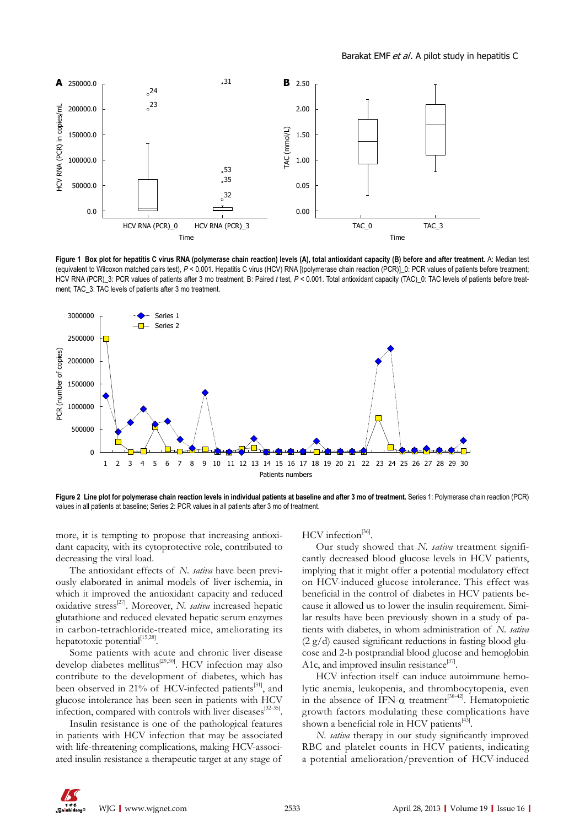

Figure 1 Box plot for hepatitis C virus RNA (polymerase chain reaction) levels (A), total antioxidant capacity (B) before and after treatment. A: Median test (equivalent to Wilcoxon matched pairs test), *P* < 0.001. Hepatitis C virus (HCV) RNA [(polymerase chain reaction (PCR)]\_0: PCR values of patients before treatment; HCV RNA (PCR)\_3: PCR values of patients after 3 mo treatment; B: Paired *t* test,  $P < 0.001$ . Total antioxidant capacity (TAC)\_0: TAC levels of patients before treatment; TAC\_3: TAC levels of patients after 3 mo treatment.



**Figure 2 Line plot for polymerase chain reaction levels in individual patients at baseline and after 3 mo of treatment. Series 1: Polymerase chain reaction (PCR)** values in all patients at baseline; Series 2: PCR values in all patients after 3 mo of treatment.

more, it is tempting to propose that increasing antioxidant capacity, with its cytoprotective role, contributed to decreasing the viral load.

The antioxidant effects of *N. sativa* have been previously elaborated in animal models of liver ischemia, in which it improved the antioxidant capacity and reduced oxidative stress[27]. Moreover, *N. sativa* increased hepatic glutathione and reduced elevated hepatic serum enzymes in carbon-tetrachloride-treated mice, ameliorating its hepatotoxic potential<sup>[15,28]</sup>.

Some patients with acute and chronic liver disease develop diabetes mellitus<sup>[29,30]</sup>. HCV infection may also contribute to the development of diabetes, which has been observed in 21% of HCV-infected patients<sup>[31]</sup>, and glucose intolerance has been seen in patients with HCV infection, compared with controls with liver diseases<sup>[32-35]</sup>.

Insulin resistance is one of the pathological features in patients with HCV infection that may be associated with life-threatening complications, making HCV-associated insulin resistance a therapeutic target at any stage of HCV infection<sup>[36]</sup>

Our study showed that *N. sativa* treatment significantly decreased blood glucose levels in HCV patients, implying that it might offer a potential modulatory effect on HCV-induced glucose intolerance. This effect was beneficial in the control of diabetes in HCV patients because it allowed us to lower the insulin requirement. Similar results have been previously shown in a study of patients with diabetes, in whom administration of *N. sativa*   $(2 \text{ g}/d)$  caused significant reductions in fasting blood glucose and 2-h postprandial blood glucose and hemoglobin A1c, and improved insulin resistance $^{[37]}$ .

HCV infection itself can induce autoimmune hemolytic anemia, leukopenia, and thrombocytopenia, even in the absence of  $IFN-\alpha$  treatment<sup>[38-42]</sup>. Hematopoietic growth factors modulating these complications have shown a beneficial role in HCV patients $^{[43]}$ .

*N. sativa* therapy in our study significantly improved RBC and platelet counts in HCV patients, indicating a potential amelioration/prevention of HCV-induced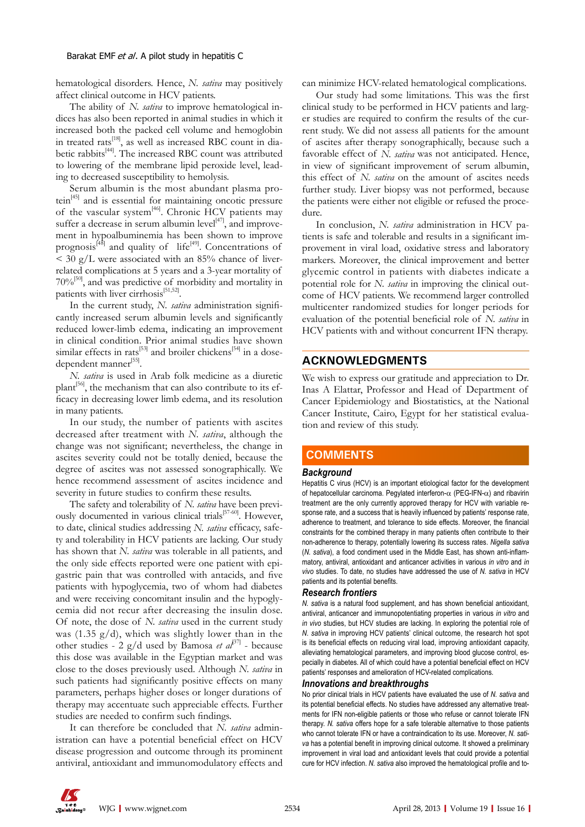hematological disorders. Hence, *N. sativa* may positively affect clinical outcome in HCV patients.

The ability of *N. sativa* to improve hematological indices has also been reported in animal studies in which it increased both the packed cell volume and hemoglobin in treated rats<sup>[18]</sup>, as well as increased RBC count in diabetic rabbits<sup>[44]</sup>. The increased RBC count was attributed to lowering of the membrane lipid peroxide level, leading to decreased susceptibility to hemolysis.

Serum albumin is the most abundant plasma protein<sup>[45]</sup> and is essential for maintaining oncotic pressure of the vascular system<sup>[46]</sup>. Chronic HCV patients may suffer a decrease in serum albumin level $[47]$ , and improvement in hypoalbuminemia has been shown to improve prognosis<sup> $[48]$ </sup> and quality of life<sup>[49]</sup>. Concentrations of  $<$  30 g/L were associated with an 85% chance of liverrelated complications at 5 years and a 3-year mortality of  $70\%$ <sup>[50]</sup>, and was predictive of morbidity and mortality in patients with liver cirrhosis<sup>[51,52]</sup>.

In the current study, *N. sativa* administration significantly increased serum albumin levels and significantly reduced lower-limb edema, indicating an improvement in clinical condition. Prior animal studies have shown similar effects in rats<sup>[53]</sup> and broiler chickens<sup>[54]</sup> in a dosedependent manner[55].

*N. sativa* is used in Arab folk medicine as a diuretic  $planct$ <sup>[56]</sup>, the mechanism that can also contribute to its efficacy in decreasing lower limb edema, and its resolution in many patients.

In our study, the number of patients with ascites decreased after treatment with *N. sativa*, although the change was not significant; nevertheless, the change in ascites severity could not be totally denied, because the degree of ascites was not assessed sonographically. We hence recommend assessment of ascites incidence and severity in future studies to confirm these results.

The safety and tolerability of *N. sativa* have been previously documented in various clinical trials<sup>[57-60]</sup>. However, to date, clinical studies addressing *N. sativa* efficacy, safety and tolerability in HCV patients are lacking. Our study has shown that *N. sativa* was tolerable in all patients, and the only side effects reported were one patient with epigastric pain that was controlled with antacids, and five patients with hypoglycemia, two of whom had diabetes and were receiving concomitant insulin and the hypoglycemia did not recur after decreasing the insulin dose. Of note, the dose of *N. sativa* used in the current study was (1.35  $g/d$ ), which was slightly lower than in the other studies - 2 g/d used by Bamosa *et al*<sup>37]</sup> - because this dose was available in the Egyptian market and was close to the doses previously used. Although *N. sativa* in such patients had significantly positive effects on many parameters, perhaps higher doses or longer durations of therapy may accentuate such appreciable effects. Further studies are needed to confirm such findings.

It can therefore be concluded that *N. sativa* administration can have a potential beneficial effect on HCV disease progression and outcome through its prominent antiviral, antioxidant and immunomodulatory effects and can minimize HCV-related hematological complications.

Our study had some limitations. This was the first clinical study to be performed in HCV patients and larger studies are required to confirm the results of the current study. We did not assess all patients for the amount of ascites after therapy sonographically, because such a favorable effect of *N. sativa* was not anticipated. Hence, in view of significant improvement of serum albumin, this effect of *N. sativa* on the amount of ascites needs further study. Liver biopsy was not performed, because the patients were either not eligible or refused the procedure.

In conclusion, *N. sativa* administration in HCV patients is safe and tolerable and results in a significant improvement in viral load, oxidative stress and laboratory markers. Moreover, the clinical improvement and better glycemic control in patients with diabetes indicate a potential role for *N. sativa* in improving the clinical outcome of HCV patients. We recommend larger controlled multicenter randomized studies for longer periods for evaluation of the potential beneficial role of *N. sativa* in HCV patients with and without concurrent IFN therapy.

# **ACKNOWLEDGMENTS**

We wish to express our gratitude and appreciation to Dr. Inas A Elattar, Professor and Head of Department of Cancer Epidemiology and Biostatistics, at the National Cancer Institute, Cairo, Egypt for her statistical evaluation and review of this study.

# **COMMENTS COMMENTS**

## *Background*

Hepatitis C virus (HCV) is an important etiological factor for the development of hepatocellular carcinoma. Pegylated interferon- $\alpha$  (PEG-IFN- $\alpha$ ) and ribavirin treatment are the only currently approved therapy for HCV with variable response rate, and a success that is heavily influenced by patients' response rate, adherence to treatment, and tolerance to side effects. Moreover, the financial constraints for the combined therapy in many patients often contribute to their non-adherence to therapy, potentially lowering its success rates. *Nigella sativa* (*N. sativa*), a food condiment used in the Middle East, has shown anti-inflammatory, antiviral, antioxidant and anticancer activities in various *in vitro* and *in vivo* studies. To date, no studies have addressed the use of *N. sativa* in HCV patients and its potential benefits.

#### *Research frontiers*

*N. sativa* is a natural food supplement, and has shown beneficial antioxidant, antiviral, anticancer and immunopotentiating properties in various *in vitro* and *in vivo* studies, but HCV studies are lacking. In exploring the potential role of *N. sativa* in improving HCV patients' clinical outcome, the research hot spot is its beneficial effects on reducing viral load, improving antioxidant capacity, alleviating hematological parameters, and improving blood glucose control, especially in diabetes. All of which could have a potential beneficial effect on HCV patients' responses and amelioration of HCV-related complications.

#### *Innovations and breakthroughs*

No prior clinical trials in HCV patients have evaluated the use of *N. sativa* and its potential beneficial effects. No studies have addressed any alternative treatments for IFN non-eligible patients or those who refuse or cannot tolerate IFN therapy. *N. sativa* offers hope for a safe tolerable alternative to those patients who cannot tolerate IFN or have a contraindication to its use. Moreover, *N. sativa* has a potential benefit in improving clinical outcome. It showed a preliminary improvement in viral load and antioxidant levels that could provide a potential cure for HCV infection. *N. sativa* also improved the hematological profile and to-

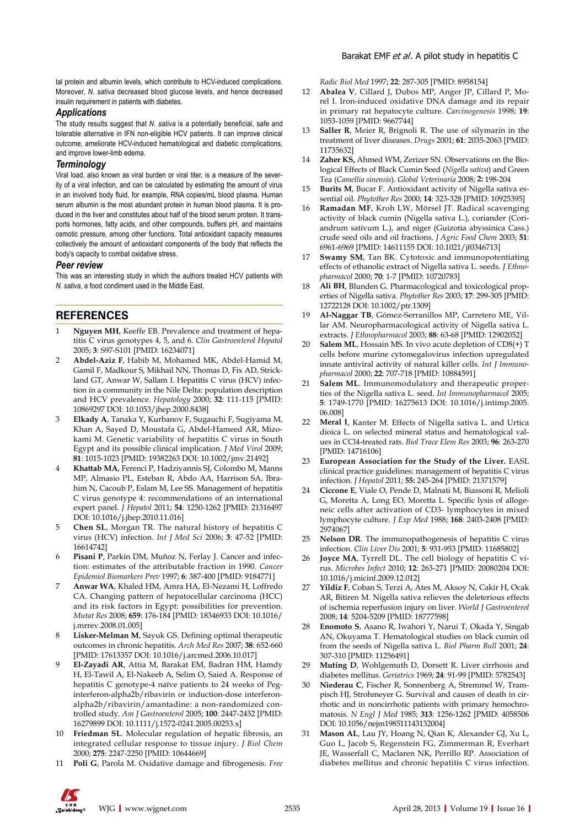tal protein and albumin levels, which contribute to HCV-induced complications. Moreover, *N. sativa* decreased blood glucose levels, and hence decreased insulin requirement in patients with diabetes.

#### *Applications*

The study results suggest that *N. sativa* is a potentially beneficial, safe and tolerable alternative in IFN non-eligible HCV patients. It can improve clinical outcome, ameliorate HCV-induced hematological and diabetic complications, and improve lower-limb edema.

#### *Terminology*

Viral load, also known as viral burden or viral titer, is a measure of the severity of a viral infection, and can be calculated by estimating the amount of virus in an involved body fluid, for example, RNA copies/mL blood plasma. Human serum albumin is the most abundant protein in human blood plasma. It is produced in the liver and constitutes about half of the blood serum protein. It transports hormones, fatty acids, and other compounds, buffers pH, and maintains osmotic pressure, among other functions. Total antioxidant capacity measures collectively the amount of antioxidant components of the body that reflects the body's capacity to combat oxidative stress.

#### *Peer review*

This was an interesting study in which the authors treated HCV patients with *N. sativa*, a food condiment used in the Middle East.

# **REFERENCES**

- 1 **Nguyen MH**, Keeffe EB. Prevalence and treatment of hepatitis C virus genotypes 4, 5, and 6. *Clin Gastroenterol Hepatol* 2005; **3**: S97-S101 [PMID: 16234071]
- 2 **Abdel-Aziz F**, Habib M, Mohamed MK, Abdel-Hamid M, Gamil F, Madkour S, Mikhail NN, Thomas D, Fix AD, Strickland GT, Anwar W, Sallam I. Hepatitis C virus (HCV) infection in a community in the Nile Delta: population description and HCV prevalence. *Hepatology* 2000; **32**: 111-115 [PMID: 10869297 DOI: 10.1053/jhep.2000.8438]
- 3 **Elkady A**, Tanaka Y, Kurbanov F, Sugauchi F, Sugiyama M, Khan A, Sayed D, Moustafa G, Abdel-Hameed AR, Mizokami M. Genetic variability of hepatitis C virus in South Egypt and its possible clinical implication. *J Med Virol* 2009; **81**: 1015-1023 [PMID: 19382263 DOI: 10.1002/jmv.21492]
- 4 **Khattab MA**, Ferenci P, Hadziyannis SJ, Colombo M, Manns MP, Almasio PL, Esteban R, Abdo AA, Harrison SA, Ibrahim N, Cacoub P, Eslam M, Lee SS. Management of hepatitis C virus genotype 4: recommendations of an international expert panel. *J Hepatol* 2011; **54**: 1250-1262 [PMID: 21316497 DOI: 10.1016/j.jhep.2010.11.016]
- 5 **Chen SL**, Morgan TR. The natural history of hepatitis C virus (HCV) infection. *Int J Med Sci* 2006; **3**: 47-52 [PMID: 16614742]
- Pisani P, Parkin DM, Muñoz N, Ferlay J. Cancer and infection: estimates of the attributable fraction in 1990. *Cancer Epidemiol Biomarkers Prev* 1997; **6**: 387-400 [PMID: 9184771]
- 7 **Anwar WA**, Khaled HM, Amra HA, El-Nezami H, Loffredo CA. Changing pattern of hepatocellular carcinoma (HCC) and its risk factors in Egypt: possibilities for prevention. *Mutat Res* 2008; **659**: 176-184 [PMID: 18346933 DOI: 10.1016/ j.mrrev.2008.01.005]
- Lisker-Melman M, Sayuk GS. Defining optimal therapeutic outcomes in chronic hepatitis. *Arch Med Res* 2007; **38**: 652-660 [PMID: 17613357 DOI: 10.1016/j.arcmed.2006.10.017]
- 9 **El-Zayadi AR**, Attia M, Barakat EM, Badran HM, Hamdy H, El-Tawil A, El-Nakeeb A, Selim O, Saied A. Response of hepatitis C genotype-4 naïve patients to 24 weeks of Peginterferon-alpha2b/ribavirin or induction-dose interferonalpha2b/ribavirin/amantadine: a non-randomized controlled study. *Am J Gastroenterol* 2005; **100**: 2447-2452 [PMID: 16279899 DOI: 10.1111/j.1572-0241.2005.00253.x]
- 10 **Friedman SL**. Molecular regulation of hepatic fibrosis, an integrated cellular response to tissue injury. *J Biol Chem* 2000; **275**: 2247-2250 [PMID: 10644669]
- 11 **Poli G**, Parola M. Oxidative damage and fibrogenesis. *Free*

*Radic Biol Med* 1997; **22**: 287-305 [PMID: 8958154]

- 12 **Abalea V**, Cillard J, Dubos MP, Anger JP, Cillard P, Morel I. Iron-induced oxidative DNA damage and its repair in primary rat hepatocyte culture. *Carcinogenesis* 1998; **19**: 1053-1059 [PMID: 9667744]
- 13 **Saller R**, Meier R, Brignoli R. The use of silymarin in the treatment of liver diseases. *Drugs* 2001; **61**: 2035-2063 [PMID: 11735632]
- 14 **Zaher KS,** Ahmed WM, Zerizer SN. Observations on the Biological Effects of Black Cumin Seed (*Nigella sativa*) and Green Tea (*Camellia sinensis*). *Global Veterinaria* 2008; **2:** 198-204
- 15 **Burits M**, Bucar F. Antioxidant activity of Nigella sativa essential oil. *Phytother Res* 2000; **14**: 323-328 [PMID: 10925395]
- 16 **Ramadan MF**, Kroh LW, Mörsel JT. Radical scavenging activity of black cumin (Nigella sativa L.), coriander (Coriandrum sativum L.), and niger (Guizotia abyssinica Cass.) crude seed oils and oil fractions. *J Agric Food Chem* 2003; **51**: 6961-6969 [PMID: 14611155 DOI: 10.1021/jf0346713]
- 17 **Swamy SM**, Tan BK. Cytotoxic and immunopotentiating effects of ethanolic extract of Nigella sativa L. seeds. *J Ethnopharmacol* 2000; **70**: 1-7 [PMID: 10720783]
- 18 **Ali BH**, Blunden G. Pharmacological and toxicological properties of Nigella sativa. *Phytother Res* 2003; **17**: 299-305 [PMID: 12722128 DOI: 10.1002/ptr.1309]
- 19 **Al-Naggar TB**, Gómez-Serranillos MP, Carretero ME, Villar AM. Neuropharmacological activity of Nigella sativa L. extracts. *J Ethnopharmacol* 2003; **88**: 63-68 [PMID: 12902052]
- **Salem ML**, Hossain MS. In vivo acute depletion of CD8(+) T cells before murine cytomegalovirus infection upregulated innate antiviral activity of natural killer cells. *Int J Immunopharmacol* 2000; **22**: 707-718 [PMID: 10884591]
- **Salem ML**. Immunomodulatory and therapeutic properties of the Nigella sativa L. seed. *Int Immunopharmacol* 2005; **5**: 1749-1770 [PMID: 16275613 DOI: 10.1016/j.intimp.2005. 06.008]
- 22 **Meral I**, Kanter M. Effects of Nigella sativa L. and Urtica dioica L. on selected mineral status and hematological values in CCl4-treated rats. *Biol Trace Elem Res* 2003; **96**: 263-270 [PMID: 14716106]
- 23 **European Association for the Study of the Liver.** EASL clinical practice guidelines: management of hepatitis C virus infection. *J Hepatol* 2011; **55:** 245-264 [PMID: 21371579]
- 24 **Ciccone E**, Viale O, Pende D, Malnati M, Biassoni R, Melioli G, Moretta A, Long EO, Moretta L. Specific lysis of allogeneic cells after activation of CD3- lymphocytes in mixed lymphocyte culture. *J Exp Med* 1988; **168**: 2403-2408 [PMID: 2974067]
- 25 **Nelson DR**. The immunopathogenesis of hepatitis C virus infection. *Clin Liver Dis* 2001; **5**: 931-953 [PMID: 11685802]
- 26 **Joyce MA**, Tyrrell DL. The cell biology of hepatitis C virus. *Microbes Infect* 2010; **12**: 263-271 [PMID: 20080204 DOI: 10.1016/j.micinf.2009.12.012]
- 27 **Yildiz F**, Coban S, Terzi A, Ates M, Aksoy N, Cakir H, Ocak AR, Bitiren M. Nigella sativa relieves the deleterious effects of ischemia reperfusion injury on liver. *World J Gastroenterol* 2008; **14**: 5204-5209 [PMID: 18777598]
- 28 **Enomoto S**, Asano R, Iwahori Y, Narui T, Okada Y, Singab AN, Okuyama T. Hematological studies on black cumin oil from the seeds of Nigella sativa L. *Biol Pharm Bull* 2001; **24**: 307-310 [PMID: 11256491]
- 29 **Muting D**, Wohlgemuth D, Dorsett R. Liver cirrhosis and diabetes mellitus. *Geriatrics* 1969; **24**: 91-99 [PMID: 5782543]
- 30 **Niederau C**, Fischer R, Sonnenberg A, Stremmel W, Trampisch HJ, Strohmeyer G. Survival and causes of death in cirrhotic and in noncirrhotic patients with primary hemochromatosis. *N Engl J Med* 1985; **313**: 1256-1262 [PMID: 4058506 DOI: 10.1056/nejm198511143132004]
- 31 **Mason AL**, Lau JY, Hoang N, Qian K, Alexander GJ, Xu L, Guo L, Jacob S, Regenstein FG, Zimmerman R, Everhart JE, Wasserfall C, Maclaren NK, Perrillo RP. Association of diabetes mellitus and chronic hepatitis C virus infection.